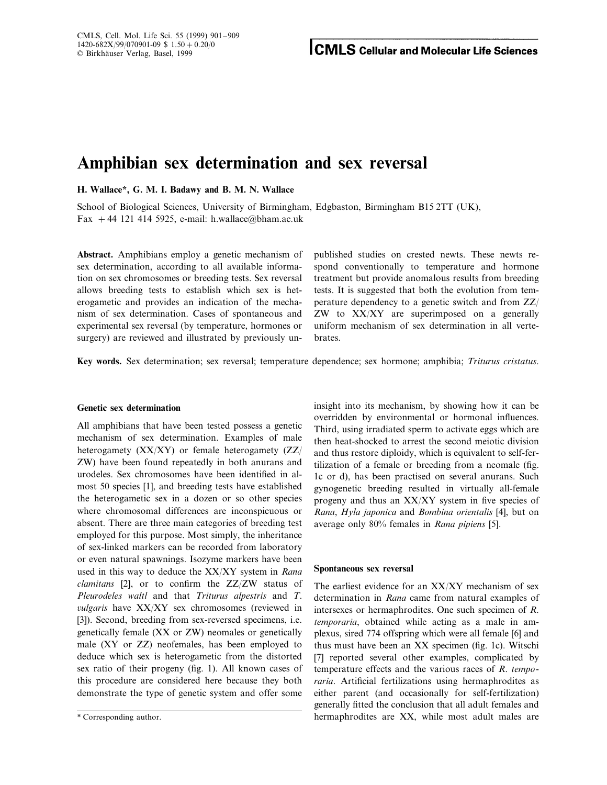# **Amphibian sex determination and sex reversal**

**H. Wallace\*, G. M. I. Badawy and B. M. N. Wallace**

School of Biological Sciences, University of Birmingham, Edgbaston, Birmingham B15 2TT (UK), Fax +44 121 414 5925, e-mail: h.wallace@bham.ac.uk

**Abstract.** Amphibians employ a genetic mechanism of published studies on crested newts. These newts resex determination, according to all available informa- spond conventionally to temperature and hormone tion on sex chromosomes or breeding tests. Sex reversal treatment but provide anomalous results from breeding allows breeding tests to establish which sex is het- tests. It is suggested that both the evolution from temerogametic and provides an indication of the mecha- perature dependency to a genetic switch and from ZZ/ nism of sex determination. Cases of spontaneous and ZW to XX/XY are superimposed on a generally experimental sex reversal (by temperature, hormones or uniform mechanism of sex determination in all vertesurgery) are reviewed and illustrated by previously un-<br>brates.

**Key words.** Sex determination; sex reversal; temperature dependence; sex hormone; amphibia; *Triturus cristatus*.

# **Genetic sex determination**

All amphibians that have been tested possess a genetic mechanism of sex determination. Examples of male heterogamety (XX/XY) or female heterogamety (ZZ/ ZW) have been found repeatedly in both anurans and urodeles. Sex chromosomes have been identified in almost 50 species [1], and breeding tests have established the heterogametic sex in a dozen or so other species where chromosomal differences are inconspicuous or absent. There are three main categories of breeding test employed for this purpose. Most simply, the inheritance of sex-linked markers can be recorded from laboratory or even natural spawnings. Isozyme markers have been used in this way to deduce the XX/XY system in *Rana clamitans* [2], or to confirm the ZZ/ZW status of *Pleurodeles waltl* and that *Triturus alpestris* and *T*. *vulgaris* have XX/XY sex chromosomes (reviewed in [3]). Second, breeding from sex-reversed specimens, i.e. genetically female (XX or ZW) neomales or genetically male (XY or ZZ) neofemales, has been employed to deduce which sex is heterogametic from the distorted sex ratio of their progeny (fig. 1). All known cases of this procedure are considered here because they both demonstrate the type of genetic system and offer some insight into its mechanism, by showing how it can be overridden by environmental or hormonal influences. Third, using irradiated sperm to activate eggs which are then heat-shocked to arrest the second meiotic division and thus restore diploidy, which is equivalent to self-fertilization of a female or breeding from a neomale (fig. 1c or d), has been practised on several anurans. Such gynogenetic breeding resulted in virtually all-female progeny and thus an XX/XY system in five species of *Rana*, *Hyla japonica* and *Bombina orientalis* [4], but on average only 80% females in *Rana pipiens* [5].

#### **Spontaneous sex reversal**

The earliest evidence for an XX/XY mechanism of sex determination in *Rana* came from natural examples of intersexes or hermaphrodites. One such specimen of *R*. *temporaria*, obtained while acting as a male in amplexus, sired 774 offspring which were all female [6] and thus must have been an XX specimen (fig. 1c). Witschi [7] reported several other examples, complicated by temperature effects and the various races of *R*. *temporaria*. Artificial fertilizations using hermaphrodites as either parent (and occasionally for self-fertilization) generally fitted the conclusion that all adult females and \* Corresponding author. hermaphrodites are XX, while most adult males are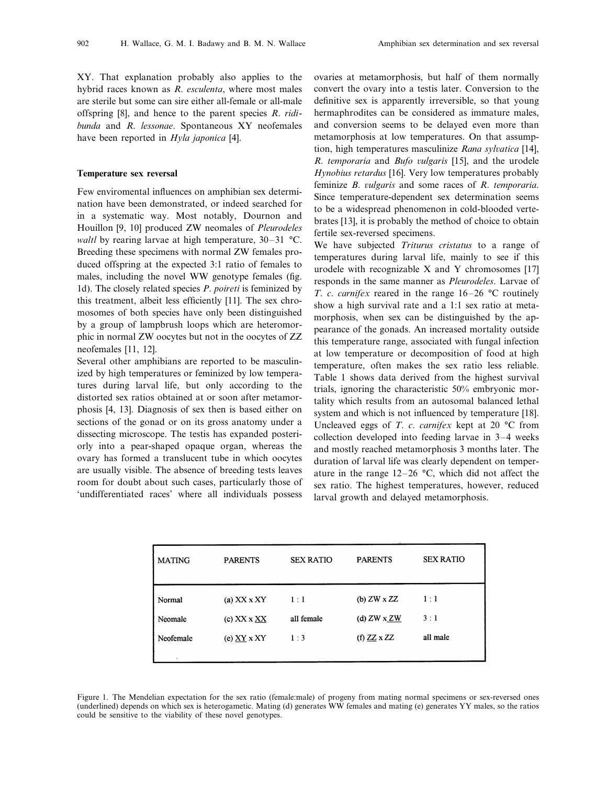XY. That explanation probably also applies to the hybrid races known as *R*. *esculenta*, where most males are sterile but some can sire either all-female or all-male offspring [8], and hence to the parent species *R*. *ridibunda* and *R*. *lessonae*. Spontaneous XY neofemales have been reported in *Hyla japonica* [4].

## **Temperature sex reversal**

Few enviromental influences on amphibian sex determination have been demonstrated, or indeed searched for in a systematic way. Most notably, Dournon and Houillon [9, 10] produced ZW neomales of *Pleurodeles waltl* by rearing larvae at high temperature, 30–31 °C. Breeding these specimens with normal ZW females produced offspring at the expected 3:1 ratio of females to males, including the novel WW genotype females (fig. 1d). The closely related species *P*. *poireti* is feminized by this treatment, albeit less efficiently [11]. The sex chromosomes of both species have only been distinguished by a group of lampbrush loops which are heteromorphic in normal ZW oocytes but not in the oocytes of ZZ neofemales [11, 12].

Several other amphibians are reported to be masculinized by high temperatures or feminized by low temperatures during larval life, but only according to the distorted sex ratios obtained at or soon after metamorphosis [4, 13]. Diagnosis of sex then is based either on sections of the gonad or on its gross anatomy under a dissecting microscope. The testis has expanded posteriorly into a pear-shaped opaque organ, whereas the ovary has formed a translucent tube in which oocytes are usually visible. The absence of breeding tests leaves room for doubt about such cases, particularly those of 'undifferentiated races' where all individuals possess ovaries at metamorphosis, but half of them normally convert the ovary into a testis later. Conversion to the definitive sex is apparently irreversible, so that young hermaphrodites can be considered as immature males, and conversion seems to be delayed even more than metamorphosis at low temperatures. On that assumption, high temperatures masculinize *Rana sylvatica* [14], *R. temporaria* and *Bufo vulgaris* [15], and the urodele *Hynobius retardus* [16]. Very low temperatures probably feminize *B*. *vulgaris* and some races of *R. temporaria*. Since temperature-dependent sex determination seems to be a widespread phenomenon in cold-blooded vertebrates [13], it is probably the method of choice to obtain fertile sex-reversed specimens.

We have subjected *Triturus cristatus* to a range of temperatures during larval life, mainly to see if this urodele with recognizable X and Y chromosomes [17] responds in the same manner as *Pleurodeles*. Larvae of *T*. *c*. *carnifex* reared in the range 16–26 °C routinely show a high survival rate and a 1:1 sex ratio at metamorphosis, when sex can be distinguished by the appearance of the gonads. An increased mortality outside this temperature range, associated with fungal infection at low temperature or decomposition of food at high temperature, often makes the sex ratio less reliable. Table 1 shows data derived from the highest survival trials, ignoring the characteristic 50% embryonic mortality which results from an autosomal balanced lethal system and which is not influenced by temperature [18]. Uncleaved eggs of *T*. *c*. *carnifex* kept at 20 °C from collection developed into feeding larvae in 3–4 weeks and mostly reached metamorphosis 3 months later. The duration of larval life was clearly dependent on temperature in the range 12–26 °C, which did not affect the sex ratio. The highest temperatures, however, reduced larval growth and delayed metamorphosis.

| <b>MATING</b> | <b>PARENTS</b>     | <b>SEX RATIO</b> | <b>PARENTS</b>     | <b>SEX RATIO</b> |
|---------------|--------------------|------------------|--------------------|------------------|
| Normal        | (a) $XX$ $X$ $XY$  | 1:1              | (b) $ZW \times ZZ$ | 1:1              |
| Neomale       | (c) $XX \times XX$ | all female       | (d) $ZW \times ZW$ | 3:1              |
| Neofemale     | (e) $XY$ x XY      | 1:3              | (f) $ZZ \times ZZ$ | all male         |
|               |                    |                  |                    |                  |

Figure 1. The Mendelian expectation for the sex ratio (female:male) of progeny from mating normal specimens or sex-reversed ones (underlined) depends on which sex is heterogametic. Mating (d) generates WW females and mating (e) generates YY males, so the ratios could be sensitive to the viability of these novel genotypes.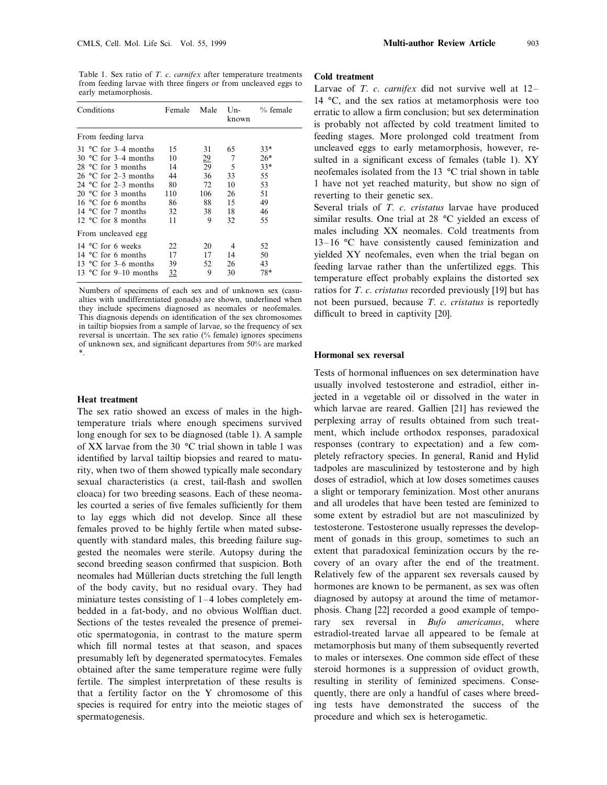Table 1. Sex ratio of *T*. *c*. *carnifex* after temperature treatments from feeding larvae with three fingers or from uncleaved eggs to early metamorphosis.

| Conditions                                                                                                                                                                                                                                                                            | Female                                              | Male                                                      | known                                            | Un- $\%$ female                                             |  |
|---------------------------------------------------------------------------------------------------------------------------------------------------------------------------------------------------------------------------------------------------------------------------------------|-----------------------------------------------------|-----------------------------------------------------------|--------------------------------------------------|-------------------------------------------------------------|--|
| From feeding larva                                                                                                                                                                                                                                                                    |                                                     |                                                           |                                                  |                                                             |  |
| $31^{\circ}$ C for 3–4 months<br>30 $\degree$ C for 3–4 months<br>28 °C for 3 months<br>26 $^{\circ}$ C for 2–3 months<br>24 $^{\circ}$ C for 2–3 months<br>20 $\degree$ C for 3 months<br>16 $\degree$ C for 6 months<br>14 $^{\circ}$ C for 7 months<br>12 $\degree$ C for 8 months | 15<br>10<br>14<br>44<br>80<br>110<br>86<br>32<br>11 | 31<br>$\frac{29}{29}$<br>36<br>72<br>106<br>88<br>38<br>9 | 65<br>7<br>5<br>33<br>10<br>26<br>15<br>18<br>32 | $33*$<br>$26*$<br>$33*$<br>55<br>53<br>51<br>49<br>46<br>55 |  |
| From uncleaved egg                                                                                                                                                                                                                                                                    |                                                     |                                                           |                                                  |                                                             |  |
| 14 °C for 6 weeks<br>14 $^{\circ}$ C for 6 months<br>13 $^{\circ}$ C for 3–6 months<br>13 $\degree$ C for 9–10 months                                                                                                                                                                 | 22<br>17<br>39<br><u>32</u>                         | 20<br>17<br>52<br>9                                       | 4<br>14<br>26<br>30                              | 52<br>50<br>43<br>78*                                       |  |

Numbers of specimens of each sex and of unknown sex (casualties with undifferentiated gonads) are shown, underlined when they include specimens diagnosed as neomales or neofemales. This diagnosis depends on identification of the sex chromosomes in tailtip biopsies from a sample of larvae, so the frequency of sex reversal is uncertain. The sex ratio (% female) ignores specimens of unknown sex, and significant departures from 50% are marked \*.

#### **Heat treatment**

The sex ratio showed an excess of males in the hightemperature trials where enough specimens survived long enough for sex to be diagnosed (table 1). A sample of XX larvae from the 30 °C trial shown in table 1 was identified by larval tailtip biopsies and reared to maturity, when two of them showed typically male secondary sexual characteristics (a crest, tail-flash and swollen cloaca) for two breeding seasons. Each of these neomales courted a series of five females sufficiently for them to lay eggs which did not develop. Since all these females proved to be highly fertile when mated subsequently with standard males, this breeding failure suggested the neomales were sterile. Autopsy during the second breeding season confirmed that suspicion. Both neomales had Müllerian ducts stretching the full length of the body cavity, but no residual ovary. They had miniature testes consisting of 1–4 lobes completely embedded in a fat-body, and no obvious Wolffian duct. Sections of the testes revealed the presence of premeiotic spermatogonia, in contrast to the mature sperm which fill normal testes at that season, and spaces presumably left by degenerated spermatocytes. Females obtained after the same temperature regime were fully fertile. The simplest interpretation of these results is that a fertility factor on the Y chromosome of this species is required for entry into the meiotic stages of spermatogenesis.

# **Cold treatment**

Larvae of *T*. *c*. *carnifex* did not survive well at 12– 14 °C, and the sex ratios at metamorphosis were too erratic to allow a firm conclusion; but sex determination is probably not affected by cold treatment limited to feeding stages. More prolonged cold treatment from uncleaved eggs to early metamorphosis, however, resulted in a significant excess of females (table 1). XY neofemales isolated from the 13 °C trial shown in table 1 have not yet reached maturity, but show no sign of reverting to their genetic sex.

Several trials of *T*. *c*. *cristatus* larvae have produced similar results. One trial at 28 °C yielded an excess of males including XX neomales. Cold treatments from 13–16 °C have consistently caused feminization and yielded XY neofemales, even when the trial began on feeding larvae rather than the unfertilized eggs. This temperature effect probably explains the distorted sex ratios for *T*. *c*. *cristatus* recorded previously [19] but has not been pursued, because *T*. *c*. *cristatus* is reportedly difficult to breed in captivity [20].

## **Hormonal sex reversal**

Tests of hormonal influences on sex determination have usually involved testosterone and estradiol, either injected in a vegetable oil or dissolved in the water in which larvae are reared. Gallien [21] has reviewed the perplexing array of results obtained from such treatment, which include orthodox responses, paradoxical responses (contrary to expectation) and a few completely refractory species. In general, Ranid and Hylid tadpoles are masculinized by testosterone and by high doses of estradiol, which at low doses sometimes causes a slight or temporary feminization. Most other anurans and all urodeles that have been tested are feminized to some extent by estradiol but are not masculinized by testosterone. Testosterone usually represses the development of gonads in this group, sometimes to such an extent that paradoxical feminization occurs by the recovery of an ovary after the end of the treatment. Relatively few of the apparent sex reversals caused by hormones are known to be permanent, as sex was often diagnosed by autopsy at around the time of metamorphosis. Chang [22] recorded a good example of temporary sex reversal in *Bufo americanus*, where estradiol-treated larvae all appeared to be female at metamorphosis but many of them subsequently reverted to males or intersexes. One common side effect of these steroid hormones is a suppression of oviduct growth, resulting in sterility of feminized specimens. Consequently, there are only a handful of cases where breeding tests have demonstrated the success of the procedure and which sex is heterogametic.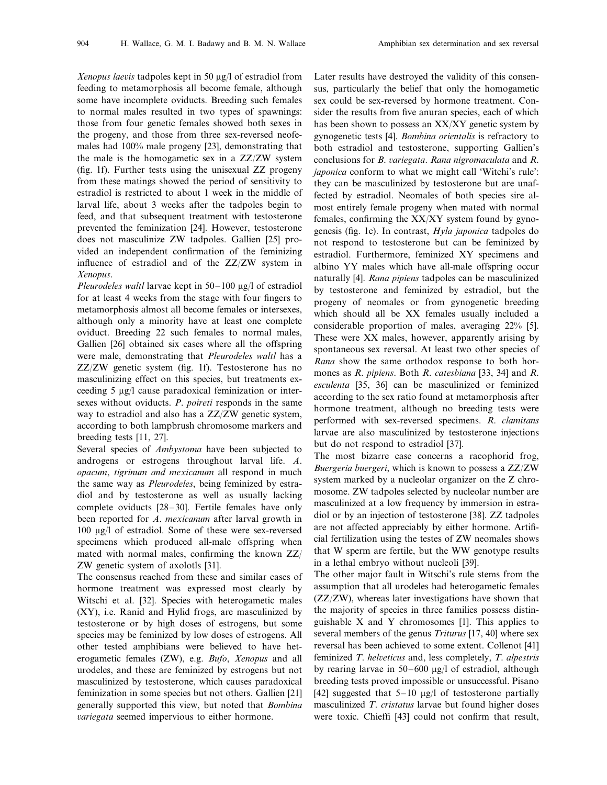*Xenopus laevis* tadpoles kept in 50 µg/l of estradiol from feeding to metamorphosis all become female, although some have incomplete oviducts. Breeding such females to normal males resulted in two types of spawnings: those from four genetic females showed both sexes in the progeny, and those from three sex-reversed neofemales had 100% male progeny [23], demonstrating that the male is the homogametic sex in a ZZ/ZW system (fig. 1f). Further tests using the unisexual ZZ progeny from these matings showed the period of sensitivity to estradiol is restricted to about 1 week in the middle of larval life, about 3 weeks after the tadpoles begin to feed, and that subsequent treatment with testosterone prevented the feminization [24]. However, testosterone does not masculinize ZW tadpoles. Gallien [25] provided an independent confirmation of the feminizing influence of estradiol and of the ZZ/ZW system in *Xenopus*.

*Pleurodeles waltl* larvae kept in 50–100 µg/l of estradiol for at least 4 weeks from the stage with four fingers to metamorphosis almost all become females or intersexes, although only a minority have at least one complete oviduct. Breeding 22 such females to normal males, Gallien [26] obtained six cases where all the offspring were male, demonstrating that *Pleurodeles waltl* has a ZZ/ZW genetic system (fig. 1f). Testosterone has no masculinizing effect on this species, but treatments exceeding  $5 \mu g/l$  cause paradoxical feminization or intersexes without oviducts. *P*. *poireti* responds in the same way to estradiol and also has a ZZ/ZW genetic system, according to both lampbrush chromosome markers and breeding tests [11, 27].

Several species of *Ambystoma* have been subjected to androgens or estrogens throughout larval life. *A*. *opacum*, *tigrinum and mexicanum* all respond in much the same way as *Pleurodeles*, being feminized by estradiol and by testosterone as well as usually lacking complete oviducts [28–30]. Fertile females have only been reported for *A*. *mexicanum* after larval growth in 100 mg/l of estradiol. Some of these were sex-reversed specimens which produced all-male offspring when mated with normal males, confirming the known ZZ/ ZW genetic system of axolotls [31].

The consensus reached from these and similar cases of hormone treatment was expressed most clearly by Witschi et al. [32]. Species with heterogametic males (XY), i.e. Ranid and Hylid frogs, are masculinized by testosterone or by high doses of estrogens, but some species may be feminized by low doses of estrogens. All other tested amphibians were believed to have heterogametic females (ZW), e.g. *Bufo*, *Xenopus* and all urodeles, and these are feminized by estrogens but not masculinized by testosterone, which causes paradoxical feminization in some species but not others. Gallien [21] generally supported this view, but noted that *Bombina variegata* seemed impervious to either hormone.

Later results have destroyed the validity of this consensus, particularly the belief that only the homogametic sex could be sex-reversed by hormone treatment. Consider the results from five anuran species, each of which has been shown to possess an XX/XY genetic system by gynogenetic tests [4]. *Bombina orientalis* is refractory to both estradiol and testosterone, supporting Gallien's conclusions for *B. variegata. Rana nigromaculata* and *R. japonica* conform to what we might call 'Witchi's rule': they can be masculinized by testosterone but are unaffected by estradiol. Neomales of both species sire almost entirely female progeny when mated with normal females, confirming the XX/XY system found by gynogenesis (fig. 1c). In contrast, *Hyla japonica* tadpoles do not respond to testosterone but can be feminized by estradiol. Furthermore, feminized XY specimens and albino YY males which have all-male offspring occur naturally [4]. *Rana pipiens* tadpoles can be masculinized by testosterone and feminized by estradiol, but the progeny of neomales or from gynogenetic breeding which should all be XX females usually included a considerable proportion of males, averaging 22% [5]. These were XX males, however, apparently arising by spontaneous sex reversal. At least two other species of *Rana* show the same orthodox response to both hormones as *R*. *pipiens*. Both *R*. *catesbiana* [33, 34] and *R*. *esculenta* [35, 36] can be masculinized or feminized according to the sex ratio found at metamorphosis after hormone treatment, although no breeding tests were performed with sex-reversed specimens. *R*. *clamitans* larvae are also masculinized by testosterone injections but do not respond to estradiol [37].

The most bizarre case concerns a racophorid frog, *Buergeria buergeri*, which is known to possess a ZZ/ZW system marked by a nucleolar organizer on the Z chromosome. ZW tadpoles selected by nucleolar number are masculinized at a low frequency by immersion in estradiol or by an injection of testosterone [38]. ZZ tadpoles are not affected appreciably by either hormone. Artificial fertilization using the testes of ZW neomales shows that W sperm are fertile, but the WW genotype results in a lethal embryo without nucleoli [39].

The other major fault in Witschi's rule stems from the assumption that all urodeles had heterogametic females (ZZ/ZW), whereas later investigations have shown that the majority of species in three families possess distinguishable X and Y chromosomes [1]. This applies to several members of the genus *Triturus* [17, 40] where sex reversal has been achieved to some extent. Collenot [41] feminized *T. helveticus* and, less completely, *T. alpestris* by rearing larvae in  $50-600 \mu g/l$  of estradiol, although breeding tests proved impossible or unsuccessful. Pisano [42] suggested that  $5-10 \mu g/l$  of testosterone partially masculinized *T*. *cristatus* larvae but found higher doses were toxic. Chieffi [43] could not confirm that result,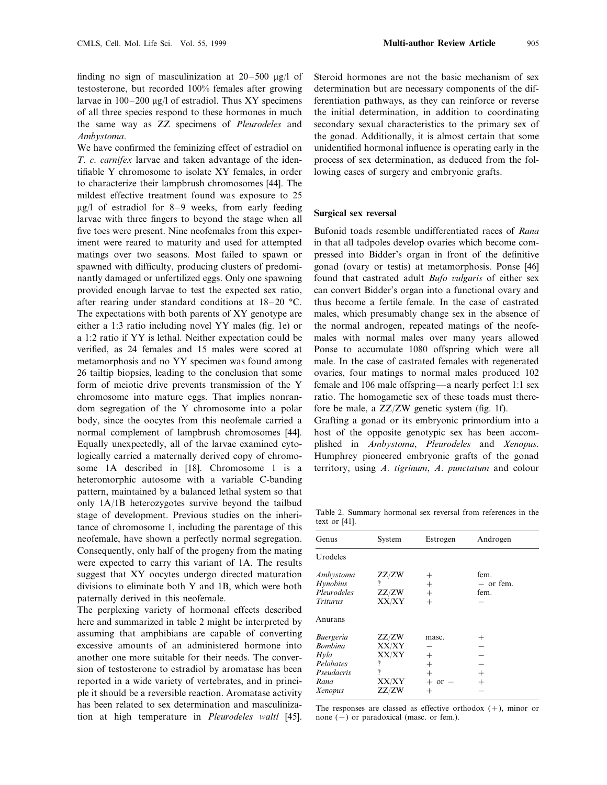finding no sign of masculinization at  $20-500 \mu g/l$  of testosterone, but recorded 100% females after growing larvae in  $100-200 \mu g/l$  of estradiol. Thus XY specimens of all three species respond to these hormones in much the same way as ZZ specimens of *Pleurodeles* and *Ambystoma*.

We have confirmed the feminizing effect of estradiol on *T*. *c*. *carnifex* larvae and taken advantage of the identifiable Y chromosome to isolate XY females, in order to characterize their lampbrush chromosomes [44]. The mildest effective treatment found was exposure to 25  $\mu$ g/l of estradiol for 8–9 weeks, from early feeding larvae with three fingers to beyond the stage when all five toes were present. Nine neofemales from this experiment were reared to maturity and used for attempted matings over two seasons. Most failed to spawn or spawned with difficulty, producing clusters of predominantly damaged or unfertilized eggs. Only one spawning provided enough larvae to test the expected sex ratio, after rearing under standard conditions at 18–20 °C. The expectations with both parents of XY genotype are either a 1:3 ratio including novel YY males (fig. 1e) or a 1:2 ratio if YY is lethal. Neither expectation could be verified, as 24 females and 15 males were scored at metamorphosis and no YY specimen was found among 26 tailtip biopsies, leading to the conclusion that some form of meiotic drive prevents transmission of the Y chromosome into mature eggs. That implies nonrandom segregation of the Y chromosome into a polar body, since the oocytes from this neofemale carried a normal complement of lampbrush chromosomes [44]. Equally unexpectedly, all of the larvae examined cytologically carried a maternally derived copy of chromosome 1A described in [18]. Chromosome 1 is a heteromorphic autosome with a variable C-banding pattern, maintained by a balanced lethal system so that only 1A/1B heterozygotes survive beyond the tailbud stage of development. Previous studies on the inheritance of chromosome 1, including the parentage of this neofemale, have shown a perfectly normal segregation. Consequently, only half of the progeny from the mating were expected to carry this variant of 1A. The results suggest that XY oocytes undergo directed maturation divisions to eliminate both Y and 1B, which were both paternally derived in this neofemale.

The perplexing variety of hormonal effects described here and summarized in table 2 might be interpreted by assuming that amphibians are capable of converting excessive amounts of an administered hormone into another one more suitable for their needs. The conversion of testosterone to estradiol by aromatase has been reported in a wide variety of vertebrates, and in principle it should be a reversible reaction. Aromatase activity has been related to sex determination and masculinization at high temperature in *Pleurodeles waltl* [45]. Steroid hormones are not the basic mechanism of sex determination but are necessary components of the differentiation pathways, as they can reinforce or reverse the initial determination, in addition to coordinating secondary sexual characteristics to the primary sex of the gonad. Additionally, it is almost certain that some unidentified hormonal influence is operating early in the process of sex determination, as deduced from the following cases of surgery and embryonic grafts.

# **Surgical sex reversal**

Bufonid toads resemble undifferentiated races of *Rana* in that all tadpoles develop ovaries which become compressed into Bidder's organ in front of the definitive gonad (ovary or testis) at metamorphosis. Ponse [46] found that castrated adult *Bufo vulgaris* of either sex can convert Bidder's organ into a functional ovary and thus become a fertile female. In the case of castrated males, which presumably change sex in the absence of the normal androgen, repeated matings of the neofemales with normal males over many years allowed Ponse to accumulate 1080 offspring which were all male. In the case of castrated females with regenerated ovaries, four matings to normal males produced 102 female and 106 male offspring—a nearly perfect 1:1 sex ratio. The homogametic sex of these toads must therefore be male, a ZZ/ZW genetic system (fig. 1f).

Grafting a gonad or its embryonic primordium into a host of the opposite genotypic sex has been accomplished in *Ambystoma*, *Pleurodeles* and *Xenopus*. Humphrey pioneered embryonic grafts of the gonad territory, using *A*. *tigrinum*, *A*. *punctatum* and colour

Table 2. Summary hormonal sex reversal from references in the text or [41].

| Genus                                                                                    | System                                              | Estrogen                                                    | Androgen                                         |  |
|------------------------------------------------------------------------------------------|-----------------------------------------------------|-------------------------------------------------------------|--------------------------------------------------|--|
| Urodeles                                                                                 |                                                     |                                                             |                                                  |  |
| Ambystoma<br>Hynobius<br>Pleurodeles<br><i>Triturus</i>                                  | ZZ/ZW<br>?<br>ZZ/ZW<br>XX/XY                        | $^+$<br>$^{+}$<br>$^{+}$<br>$+$                             | fem.<br>- or fem.<br>fem.                        |  |
| Anurans                                                                                  |                                                     |                                                             |                                                  |  |
| <i>Buergeria</i><br><b>Bombina</b><br>Hyla<br>Pelobates<br>Pseudacris<br>Rana<br>Xenopus | ZZ/ZW<br>XX/XY<br>XX/XY<br>?<br>?<br>XX/XY<br>ZZ/ZW | masc.<br>$^{+}$<br>$^{+}$<br>$+$<br><sub>or</sub><br>$^{+}$ | $^+$<br>$\hspace{0.1mm} +$<br>$\hspace{0.1mm} +$ |  |

The responses are classed as effective orthodox  $(+)$ , minor or none (−) or paradoxical (masc. or fem.).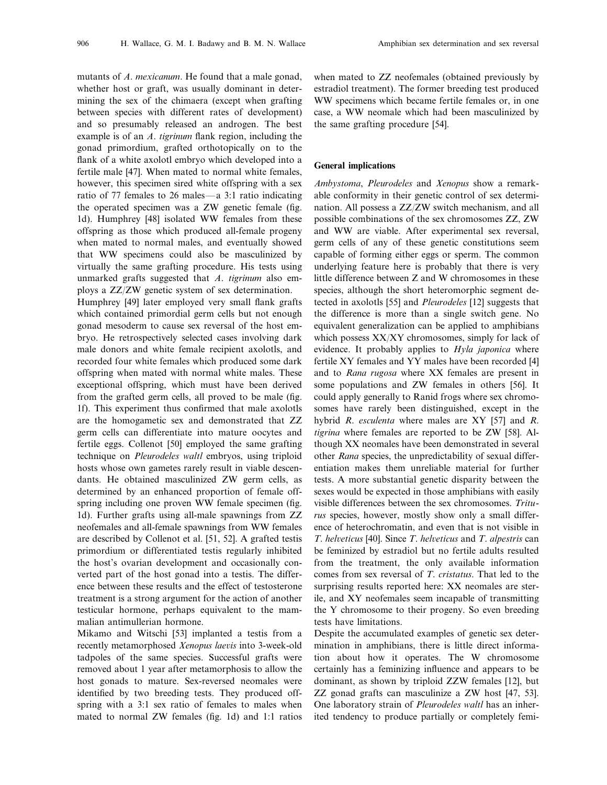mutants of *A*. *mexicanum*. He found that a male gonad, whether host or graft, was usually dominant in determining the sex of the chimaera (except when grafting between species with different rates of development) and so presumably released an androgen. The best example is of an *A*. *tigrinum* flank region, including the gonad primordium, grafted orthotopically on to the flank of a white axolotl embryo which developed into a fertile male [47]. When mated to normal white females, however, this specimen sired white offspring with a sex ratio of 77 females to 26 males—a 3:1 ratio indicating the operated specimen was a ZW genetic female (fig. 1d). Humphrey [48] isolated WW females from these offspring as those which produced all-female progeny when mated to normal males, and eventually showed that WW specimens could also be masculinized by virtually the same grafting procedure. His tests using unmarked grafts suggested that *A*. *tigrinum* also employs a ZZ/ZW genetic system of sex determination.

Humphrey [49] later employed very small flank grafts which contained primordial germ cells but not enough gonad mesoderm to cause sex reversal of the host embryo. He retrospectively selected cases involving dark male donors and white female recipient axolotls, and recorded four white females which produced some dark offspring when mated with normal white males. These exceptional offspring, which must have been derived from the grafted germ cells, all proved to be male (fig. 1f). This experiment thus confirmed that male axolotls are the homogametic sex and demonstrated that ZZ germ cells can differentiate into mature oocytes and fertile eggs. Collenot [50] employed the same grafting technique on *Pleurodeles waltl* embryos, using triploid hosts whose own gametes rarely result in viable descendants. He obtained masculinized ZW germ cells, as determined by an enhanced proportion of female offspring including one proven WW female specimen (fig. 1d). Further grafts using all-male spawnings from ZZ neofemales and all-female spawnings from WW females are described by Collenot et al. [51, 52]. A grafted testis primordium or differentiated testis regularly inhibited the host's ovarian development and occasionally converted part of the host gonad into a testis. The difference between these results and the effect of testosterone treatment is a strong argument for the action of another testicular hormone, perhaps equivalent to the mammalian antimullerian hormone.

Mikamo and Witschi [53] implanted a testis from a recently metamorphosed *Xenopus laevis* into 3-week-old tadpoles of the same species. Successful grafts were removed about 1 year after metamorphosis to allow the host gonads to mature. Sex-reversed neomales were identified by two breeding tests. They produced offspring with a 3:1 sex ratio of females to males when mated to normal ZW females (fig. 1d) and 1:1 ratios when mated to ZZ neofemales (obtained previously by estradiol treatment). The former breeding test produced WW specimens which became fertile females or, in one case, a WW neomale which had been masculinized by the same grafting procedure [54].

# **General implications**

*Ambystoma*, *Pleurodeles* and *Xenopus* show a remarkable conformity in their genetic control of sex determination. All possess a ZZ/ZW switch mechanism, and all possible combinations of the sex chromosomes ZZ, ZW and WW are viable. After experimental sex reversal, germ cells of any of these genetic constitutions seem capable of forming either eggs or sperm. The common underlying feature here is probably that there is very little difference between Z and W chromosomes in these species, although the short heteromorphic segment detected in axolotls [55] and *Pleurodeles* [12] suggests that the difference is more than a single switch gene. No equivalent generalization can be applied to amphibians which possess XX/XY chromosomes, simply for lack of evidence. It probably applies to *Hyla japonica* where fertile XY females and YY males have been recorded [4] and to *Rana rugosa* where XX females are present in some populations and ZW females in others [56]. It could apply generally to Ranid frogs where sex chromosomes have rarely been distinguished, except in the hybrid *R*. *esculenta* where males are XY [57] and *R*. *tigrina* where females are reported to be ZW [58]. Although XX neomales have been demonstrated in several other *Rana* species, the unpredictability of sexual differentiation makes them unreliable material for further tests. A more substantial genetic disparity between the sexes would be expected in those amphibians with easily visible differences between the sex chromosomes. *Triturus* species, however, mostly show only a small difference of heterochromatin, and even that is not visible in *T*. *helveticus* [40]. Since *T*. *helveticus* and *T*. *alpestris* can be feminized by estradiol but no fertile adults resulted from the treatment, the only available information comes from sex reversal of *T*. *cristatus*. That led to the surprising results reported here: XX neomales are sterile, and XY neofemales seem incapable of transmitting the Y chromosome to their progeny. So even breeding tests have limitations.

Despite the accumulated examples of genetic sex determination in amphibians, there is little direct information about how it operates. The W chromosome certainly has a feminizing influence and appears to be dominant, as shown by triploid ZZW females [12], but ZZ gonad grafts can masculinize a ZW host [47, 53]. One laboratory strain of *Pleurodeles waltl* has an inherited tendency to produce partially or completely femi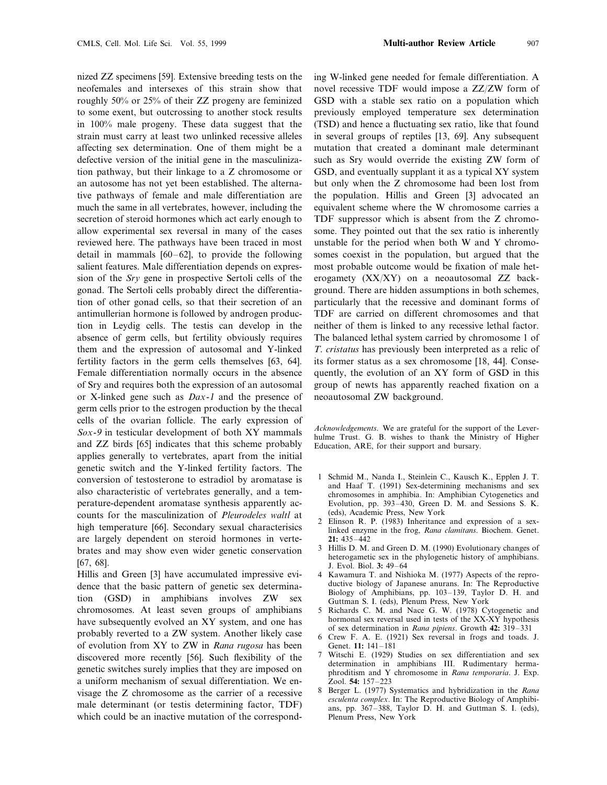nized ZZ specimens [59]. Extensive breeding tests on the neofemales and intersexes of this strain show that roughly 50% or 25% of their ZZ progeny are feminized to some exent, but outcrossing to another stock results in 100% male progeny. These data suggest that the strain must carry at least two unlinked recessive alleles affecting sex determination. One of them might be a defective version of the initial gene in the masculinization pathway, but their linkage to a Z chromosome or an autosome has not yet been established. The alternative pathways of female and male differentiation are much the same in all vertebrates, however, including the secretion of steroid hormones which act early enough to allow experimental sex reversal in many of the cases reviewed here. The pathways have been traced in most detail in mammals [60–62], to provide the following salient features. Male differentiation depends on expression of the *Sry* gene in prospective Sertoli cells of the gonad. The Sertoli cells probably direct the differentiation of other gonad cells, so that their secretion of an antimullerian hormone is followed by androgen production in Leydig cells. The testis can develop in the absence of germ cells, but fertility obviously requires them and the expression of autosomal and Y-linked fertility factors in the germ cells themselves [63, 64]. Female differentiation normally occurs in the absence of Sry and requires both the expression of an autosomal or X-linked gene such as *Dax*-1 and the presence of germ cells prior to the estrogen production by the thecal cells of the ovarian follicle. The early expression of *Sox*-9 in testicular development of both XY mammals and ZZ birds [65] indicates that this scheme probably applies generally to vertebrates, apart from the initial genetic switch and the Y-linked fertility factors. The conversion of testosterone to estradiol by aromatase is also characteristic of vertebrates generally, and a temperature-dependent aromatase synthesis apparently accounts for the masculinization of *Pleurodeles waltl* at high temperature [66]. Secondary sexual characterisics are largely dependent on steroid hormones in vertebrates and may show even wider genetic conservation [67, 68].

Hillis and Green [3] have accumulated impressive evidence that the basic pattern of genetic sex determination (GSD) in amphibians involves ZW sex chromosomes. At least seven groups of amphibians have subsequently evolved an XY system, and one has probably reverted to a ZW system. Another likely case of evolution from XY to ZW in *Rana rugosa* has been discovered more recently [56]. Such flexibility of the genetic switches surely implies that they are imposed on a uniform mechanism of sexual differentiation. We envisage the Z chromosome as the carrier of a recessive male determinant (or testis determining factor, TDF) which could be an inactive mutation of the corresponding W-linked gene needed for female differentiation. A novel recessive TDF would impose a ZZ/ZW form of GSD with a stable sex ratio on a population which previously employed temperature sex determination (TSD) and hence a fluctuating sex ratio, like that found in several groups of reptiles [13, 69]. Any subsequent mutation that created a dominant male determinant such as Sry would override the existing ZW form of GSD, and eventually supplant it as a typical XY system but only when the Z chromosome had been lost from the population. Hillis and Green [3] advocated an equivalent scheme where the W chromosome carries a TDF suppressor which is absent from the Z chromosome. They pointed out that the sex ratio is inherently unstable for the period when both W and Y chromosomes coexist in the population, but argued that the most probable outcome would be fixation of male heterogamety (XX/XY) on a neoautosomal ZZ background. There are hidden assumptions in both schemes, particularly that the recessive and dominant forms of TDF are carried on different chromosomes and that neither of them is linked to any recessive lethal factor. The balanced lethal system carried by chromosome 1 of *T*. *cristatus* has previously been interpreted as a relic of its former status as a sex chromosome [18, 44]. Consequently, the evolution of an XY form of GSD in this group of newts has apparently reached fixation on a neoautosomal ZW background.

*Acknowledgements*. We are grateful for the support of the Leverhulme Trust. G. B. wishes to thank the Ministry of Higher Education, ARE, for their support and bursary.

- 1 Schmid M., Nanda I., Steinlein C., Kausch K., Epplen J. T. and Haaf T. (1991) Sex-determining mechanisms and sex chromosomes in amphibia. In: Amphibian Cytogenetics and Evolution, pp. 393–430, Green D. M. and Sessions S. K. (eds), Academic Press, New York
- 2 Elinson R. P. (1983) Inheritance and expression of a sexlinked enzyme in the frog, *Rana clamitans*. Biochem. Genet. **21:** 435–442
- 3 Hillis D. M. and Green D. M. (1990) Evolutionary changes of heterogametic sex in the phylogenetic history of amphibians. J. Evol. Biol. **3:** 49–64
- 4 Kawamura T. and Nishioka M. (1977) Aspects of the reproductive biology of Japanese anurans. In: The Reproductive Biology of Amphibians, pp. 103–139, Taylor D. H. and Guttman S. I. (eds), Plenum Press, New York
- 5 Richards C. M. and Nace G. W. (1978) Cytogenetic and hormonal sex reversal used in tests of the XX-XY hypothesis of sex determination in *Rana pipiens*. Growth **42:** 319–331
- 6 Crew F. A. E. (1921) Sex reversal in frogs and toads. J. Genet. **11:** 141–181
- 7 Witschi E. (1929) Studies on sex differentiation and sex determination in amphibians III. Rudimentary hermaphroditism and Y chromosome in *Rana temporaria*. J. Exp. Zool. **54:** 157–223
- 8 Berger L. (1977) Systematics and hybridization in the *Rana esculenta complex*. In: The Reproductive Biology of Amphibians, pp. 367–388, Taylor D. H. and Guttman S. I. (eds), Plenum Press, New York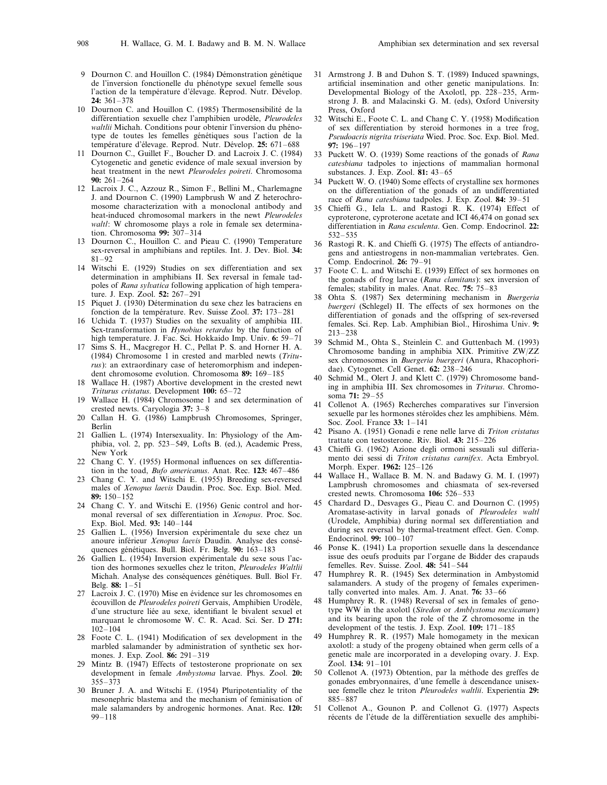- 9 Dournon C. and Houillon C. (1984) Démonstration génétique de l'inversion fonctionelle du phénotype sexuel femelle sous l'action de la température d'élevage. Reprod. Nutr. Dévelop. **24:** 361–378
- 10 Dournon C. and Houillon C. (1985) Thermosensibilité de la différentiation sexuelle chez l'amphibien urodèle, *Pleurodeles waltlii* Michah. Conditions pour obtenir l'inversion du phénotype de toutes les femelles génétiques sous l'action de la température d'élevage. Reprod. Nutr. Dévelop. 25: 671–688
- 11 Dournon C., Guillet F., Boucher D. and Lacroix J. C. (1984) Cytogenetic and genetic evidence of male sexual inversion by heat treatment in the newt *Pleurodeles poireti*. Chromosoma **90:** 261–264
- 12 Lacroix J. C., Azzouz R., Simon F., Bellini M., Charlemagne J. and Dournon C. (1990) Lampbrush W and Z heterochromosome characterization with a monoclonal antibody and heat-induced chromosomal markers in the newt *Pleurodeles waltl*: W chromosome plays a role in female sex determination. Chromosoma **99:** 307–314
- 13 Dournon C., Houillon C. and Pieau C. (1990) Temperature sex-reversal in amphibians and reptiles. Int. J. Dev. Biol. **34:** 81–92
- 14 Witschi E. (1929) Studies on sex differentiation and sex determination in amphibians II. Sex reversal in female tadpoles of *Rana sylvatica* following application of high temperature. J. Exp. Zool. **52:** 267–291
- 15 Piquet J. (1930) Détermination du sexe chez les batraciens en fonction de la température. Rev. Suisse Zool. 37: 173-281
- 16 Uchida T. (1937) Studies on the sexuality of amphibia III. Sex-transformation in *Hynobius retardus* by the function of high temperature. J. Fac. Sci. Hokkaido Imp. Univ. **6:** 59–71
- 17 Sims S. H., Macgregor H. C., Pellat P. S. and Horner H. A. (1984) Chromosome 1 in crested and marbled newts (*Triturus*): an extraordinary case of heteromorphism and independent chromosome evolution. Chromosoma **89:** 169–185
- Wallace H. (1987) Abortive development in the crested newt *Triturus cristatus*. Development **100:** 65–72
- 19 Wallace H. (1984) Chromosome 1 and sex determination of crested newts. Caryologia **37:** 3–8
- 20 Callan H. G. (1986) Lampbrush Chromosomes, Springer, Berlin
- 21 Gallien L. (1974) Intersexuality. In: Physiology of the Amphibia, vol. 2, pp. 523–549, Lofts B. (ed.), Academic Press, New York
- 22 Chang C. Y. (1955) Hormonal influences on sex differentiation in the toad, *Bufo americanus*. Anat. Rec. **123:** 467–486
- 23 Chang C. Y. and Witschi E. (1955) Breeding sex-reversed males of *Xenopus laevis* Daudin. Proc. Soc. Exp. Biol. Med. **89:** 150–152
- 24 Chang C. Y. and Witschi E. (1956) Genic control and hormonal reversal of sex differentiation in *Xenopus*. Proc. Soc. Exp. Biol. Med. **93:** 140–144
- 25 Gallien L. (1956) Inversion expérimentale du sexe chez un anoure inférieur *Xenopus laevis* Daudin. Analyse des conséquences génétiques. Bull. Biol. Fr. Belg. 90: 163-183
- 26 Gallien L. (1954) Inversion expérimentale du sexe sous l'action des hormones sexuelles chez le triton, *Pleurodeles Waltlii* Michah. Analyse des conséquences génétiques. Bull. Biol Fr. Belg. **88:** 1–51
- 27 Lacroix J. C. (1970) Mise en évidence sur les chromosomes en écouvillon de *Pleurodeles poireti* Gervais, Amphibien Urodèle, d'une structure liée au sexe, identifiant le bivalent sexuel et marquant le chromosome W. C. R. Acad. Sci. Ser. D **271:** 102–104
- 28 Foote C. L. (1941) Modification of sex development in the marbled salamander by administration of synthetic sex hormones. J. Exp. Zool. **86:** 291–319
- 29 Mintz B. (1947) Effects of testosterone proprionate on sex development in female *Ambystoma* larvae. Phys. Zool. **20:** 355–373
- 30 Bruner J. A. and Witschi E. (1954) Pluripotentiality of the mesonephric blastema and the mechanism of feminisation of male salamanders by androgenic hormones. Anat. Rec. **120:** 99–118
- 31 Armstrong J. B and Duhon S. T. (1989) Induced spawnings, artificial insemination and other genetic manipulations. In: Developmental Biology of the Axolotl, pp. 228–235, Armstrong J. B. and Malacinski G. M. (eds), Oxford University Press, Oxford
- 32 Witschi E., Foote C. L. and Chang C. Y. (1958) Modification of sex differentiation by steroid hormones in a tree frog, *Pseudoacris nigrita triseriata* Wied. Proc. Soc. Exp. Biol. Med. **97:** 196–197
- 33 Puckett W. O. (1939) Some reactions of the gonads of *Rana catesbiana* tadpoles to injections of mammalian hormonal substances. J. Exp. Zool. **81:** 43–65
- 34 Puckett W. O. (1940) Some effects of crystalline sex hormones on the differentiation of the gonads of an undifferentiated race of *Rana catesbiana* tadpoles. J. Exp. Zool. **84:** 39–51
- 35 Chieffi G., Iela L. and Rastogi R. K. (1974) Effect of cyproterone, cyproterone acetate and ICI 46,474 on gonad sex differentiation in *Rana esculenta*. Gen. Comp. Endocrinol. **22:** 532–535
- 36 Rastogi R. K. and Chieffi G. (1975) The effects of antiandrogens and antiestrogens in non-mammalian vertebrates. Gen. Comp. Endocrinol. **26:** 79–91
- 37 Foote C. L. and Witschi E. (1939) Effect of sex hormones on the gonads of frog larvae (*Rana clamitans*): sex inversion of females; stability in males. Anat. Rec. **75:** 75–83
- 38 Ohta S. (1987) Sex determining mechanism in *Buergeria buergeri* (Schlegel) II. The effects of sex hormones on the differentiation of gonads and the offspring of sex-reversed females. Sci. Rep. Lab. Amphibian Biol., Hiroshima Univ. **9:** 213–238
- 39 Schmid M., Ohta S., Steinlein C. and Guttenbach M. (1993) Chromosome banding in amphibia XIX. Primitive ZW/ZZ sex chromosomes in *Buergeria buergeri* (Anura, Rhacophoridae). Cytogenet. Cell Genet. **62:** 238–246
- 40 Schmid M., Olert J. and Klett C. (1979) Chromosome banding in amphibia III. Sex chromosomes in *Triturus*. Chromosoma **71:** 29–55
- 41 Collenot A. (1965) Recherches comparatives sur l'inversion sexuelle par les hormones stéroïdes chez les amphibiens. Mém. Soc. Zool. France **33:** 1–141
- 42 Pisano A. (1951) Gonadi e rene nelle larve di *Triton cristatus* trattate con testosterone. Riv. Biol. **43:** 215–226
- 43 Chieffi G. (1962) Azione degli ormoni sessuali sul differiamento dei sessi di *Triton cristatus carnifex*. Acta Embryol. Morph. Exper. **1962:** 125–126
- Wallace H., Wallace B. M. N. and Badawy G. M. I. (1997) Lampbrush chromosomes and chiasmata of sex-reversed crested newts. Chromosoma **106:** 526–533
- 45 Chardard D., Desvages G., Pieau C. and Dournon C. (1995) Aromatase-activity in larval gonads of *Pleurodeles waltl* (Urodele, Amphibia) during normal sex differentiation and during sex reversal by thermal-treatment effect. Gen. Comp. Endocrinol. **99:** 100–107
- 46 Ponse K. (1941) La proportion sexuelle dans la descendance issue des oeufs produits par l'organe de Bidder des crapauds femelles. Rev. Suisse. Zool. **48:** 541–544
- 47 Humphrey R. R. (1945) Sex determination in Ambystomid salamanders. A study of the progeny of females experimentally converted into males. Am. J. Anat. **76:** 33–66
- 48 Humphrey R. R. (1948) Reversal of sex in females of genotype WW in the axolotl (*Siredon* or *Amblystoma mexicanum*) and its bearing upon the role of the Z chromosome in the development of the testis. J. Exp. Zool. **109:** 171–185
- 49 Humphrey R. R. (1957) Male homogamety in the mexican axolotl: a study of the progeny obtained when germ cells of a genetic male are incorporated in a developing ovary. J. Exp. Zool. **134:** 91–101
- 50 Collenot A. (1973) Obtention, par la méthode des greffes de gonades embryonnaires, d'une femelle à descendance unisexuee femelle chez le triton *Pleurodeles waltlii*. Experientia **29:** 885–887
- 51 Collenot A., Gounon P. and Collenot G. (1977) Aspects récents de l'étude de la différentiation sexuelle des amphibi-